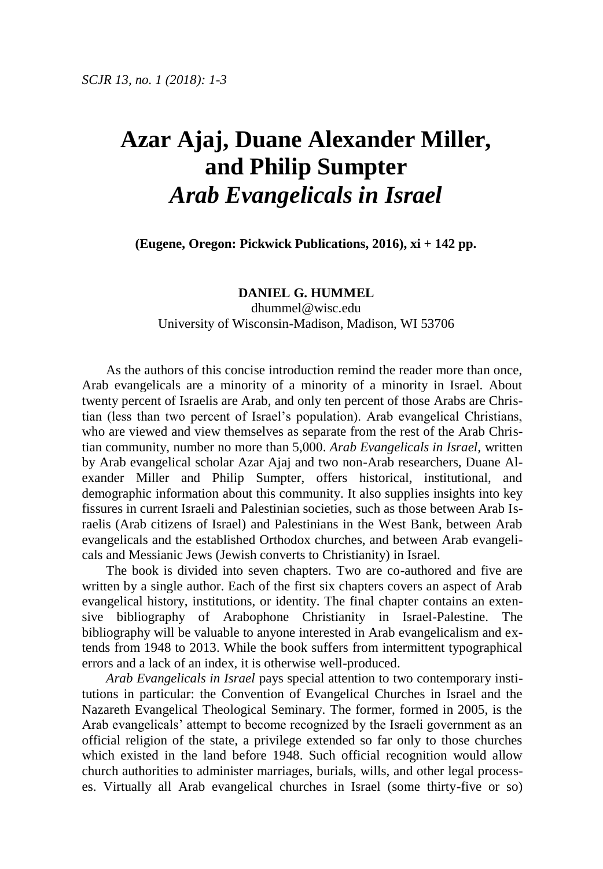## **Azar Ajaj, Duane Alexander Miller, and Philip Sumpter** *Arab Evangelicals in Israel*

**(Eugene, Oregon: Pickwick Publications, 2016), xi + 142 pp.**

## **DANIEL G. HUMMEL**

dhummel@wisc.edu University of Wisconsin-Madison, Madison, WI 53706

As the authors of this concise introduction remind the reader more than once, Arab evangelicals are a minority of a minority of a minority in Israel. About twenty percent of Israelis are Arab, and only ten percent of those Arabs are Christian (less than two percent of Israel's population). Arab evangelical Christians, who are viewed and view themselves as separate from the rest of the Arab Christian community, number no more than 5,000. *Arab Evangelicals in Israel,* written by Arab evangelical scholar Azar Ajaj and two non-Arab researchers, Duane Alexander Miller and Philip Sumpter, offers historical, institutional, and demographic information about this community. It also supplies insights into key fissures in current Israeli and Palestinian societies, such as those between Arab Israelis (Arab citizens of Israel) and Palestinians in the West Bank, between Arab evangelicals and the established Orthodox churches, and between Arab evangelicals and Messianic Jews (Jewish converts to Christianity) in Israel.

The book is divided into seven chapters. Two are co-authored and five are written by a single author. Each of the first six chapters covers an aspect of Arab evangelical history, institutions, or identity. The final chapter contains an extensive bibliography of Arabophone Christianity in Israel-Palestine. The bibliography will be valuable to anyone interested in Arab evangelicalism and extends from 1948 to 2013. While the book suffers from intermittent typographical errors and a lack of an index, it is otherwise well-produced.

*Arab Evangelicals in Israel* pays special attention to two contemporary institutions in particular: the Convention of Evangelical Churches in Israel and the Nazareth Evangelical Theological Seminary. The former, formed in 2005, is the Arab evangelicals' attempt to become recognized by the Israeli government as an official religion of the state, a privilege extended so far only to those churches which existed in the land before 1948. Such official recognition would allow church authorities to administer marriages, burials, wills, and other legal processes. Virtually all Arab evangelical churches in Israel (some thirty-five or so)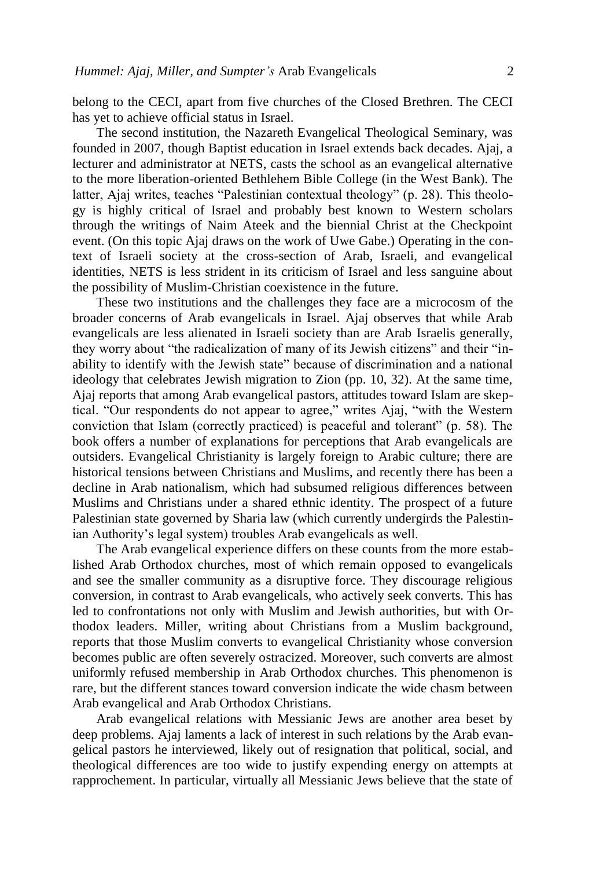belong to the CECI, apart from five churches of the Closed Brethren. The CECI has yet to achieve official status in Israel.

The second institution, the Nazareth Evangelical Theological Seminary, was founded in 2007, though Baptist education in Israel extends back decades. Ajaj, a lecturer and administrator at NETS, casts the school as an evangelical alternative to the more liberation-oriented Bethlehem Bible College (in the West Bank). The latter, Ajaj writes, teaches "Palestinian contextual theology" (p. 28). This theology is highly critical of Israel and probably best known to Western scholars through the writings of Naim Ateek and the biennial Christ at the Checkpoint event. (On this topic Ajaj draws on the work of Uwe Gabe.) Operating in the context of Israeli society at the cross-section of Arab, Israeli, and evangelical identities, NETS is less strident in its criticism of Israel and less sanguine about the possibility of Muslim-Christian coexistence in the future.

These two institutions and the challenges they face are a microcosm of the broader concerns of Arab evangelicals in Israel. Ajaj observes that while Arab evangelicals are less alienated in Israeli society than are Arab Israelis generally, they worry about "the radicalization of many of its Jewish citizens" and their "inability to identify with the Jewish state" because of discrimination and a national ideology that celebrates Jewish migration to Zion (pp. 10, 32). At the same time, Ajaj reports that among Arab evangelical pastors, attitudes toward Islam are skeptical. "Our respondents do not appear to agree," writes Ajaj, "with the Western conviction that Islam (correctly practiced) is peaceful and tolerant" (p. 58). The book offers a number of explanations for perceptions that Arab evangelicals are outsiders. Evangelical Christianity is largely foreign to Arabic culture; there are historical tensions between Christians and Muslims, and recently there has been a decline in Arab nationalism, which had subsumed religious differences between Muslims and Christians under a shared ethnic identity. The prospect of a future Palestinian state governed by Sharia law (which currently undergirds the Palestinian Authority's legal system) troubles Arab evangelicals as well.

The Arab evangelical experience differs on these counts from the more established Arab Orthodox churches, most of which remain opposed to evangelicals and see the smaller community as a disruptive force. They discourage religious conversion, in contrast to Arab evangelicals, who actively seek converts. This has led to confrontations not only with Muslim and Jewish authorities, but with Orthodox leaders. Miller, writing about Christians from a Muslim background, reports that those Muslim converts to evangelical Christianity whose conversion becomes public are often severely ostracized. Moreover, such converts are almost uniformly refused membership in Arab Orthodox churches. This phenomenon is rare, but the different stances toward conversion indicate the wide chasm between Arab evangelical and Arab Orthodox Christians.

Arab evangelical relations with Messianic Jews are another area beset by deep problems. Ajaj laments a lack of interest in such relations by the Arab evangelical pastors he interviewed, likely out of resignation that political, social, and theological differences are too wide to justify expending energy on attempts at rapprochement. In particular, virtually all Messianic Jews believe that the state of